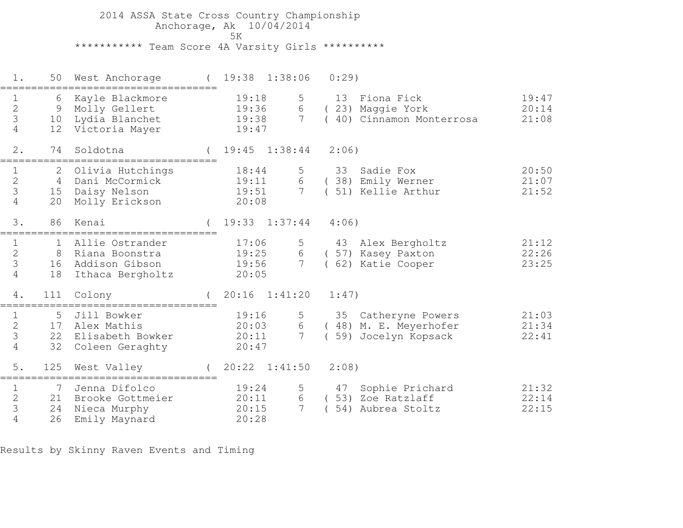2014 ASSA State Cross Country Championship Anchorage, Ak 10/04/2014ta di kacamatan ing Kabupatèn Kabupatèn Kabupatèn Kabupatèn Kabupatèn Kabupatèn Kabupatèn Kabupatèn K \*\*\*\*\*\*\*\*\*\*\* Team Score 4A Varsity Girls \*\*\*\*\*\*\*\*\*\* 1. 50 West Anchorage ( 19:38 1:38:06 0:29)=================================== 1 6 Kayle Blackmore 19:18 5 13 Fiona Fick 19:47 2 9 Molly Gellert 19:36 6 ( 23) Maggie York 20:14 3 10 Lydia Blanchet 19:38 7 ( 40) Cinnamon Monterrosa 21:08 4 12 Victoria Mayer 19:47 2. 74 Soldotna ( 19:45 1:38:44 2:06)=================================== 1 2 Olivia Hutchings 18:44 5 33 Sadie Fox 20:50 2 4 Dani McCormick 19:11 6 ( 38) Emily Werner 21:07 3 15 Daisy Nelson 19:51 7 ( 51) Kellie Arthur 21:52 4 20 Molly Erickson 20:08 3. 86 Kenai ( 19:33 1:37:44 4:06)=================================== 1 1 Allie Ostrander 17:06 5 43 Alex Bergholtz 21:12 2 8 Riana Boonstra 19:25 6 ( 57) Kasey Paxton 22:26 3 16 Addison Gibson 19:56 7 ( 62) Katie Cooper 23:25 4 18 Ithaca Bergholtz 20:05 4. 111 Colony ( 20:16 1:41:20 1:47)=================================== 1 5 Jill Bowker 19:16 5 35 Catheryne Powers 21:03 2 17 Alex Mathis 20:03 6 ( 48) M. E. Meyerhofer 21:34 3 22 Elisabeth Bowker 20:11 7 ( 59) Jocelyn Kopsack 22:41 4 32 Coleen Geraghty 20:47 5. 125 West Valley ( 20:22 1:41:50 2:08)===================================1 7 Jenna Difolco 19:24 5 47 Sophie Prichard 21:32<br>2 21 Brooke Gottmeier 20:11 6 (53) Zoe Ratzlaff 22:14<br>3 24 Nieca Murphy 20:15 7 (54) Aubrea Stoltz 22:15<br>4 26 Emily Maynard 20:28

Results by Skinny Raven Events and Timing